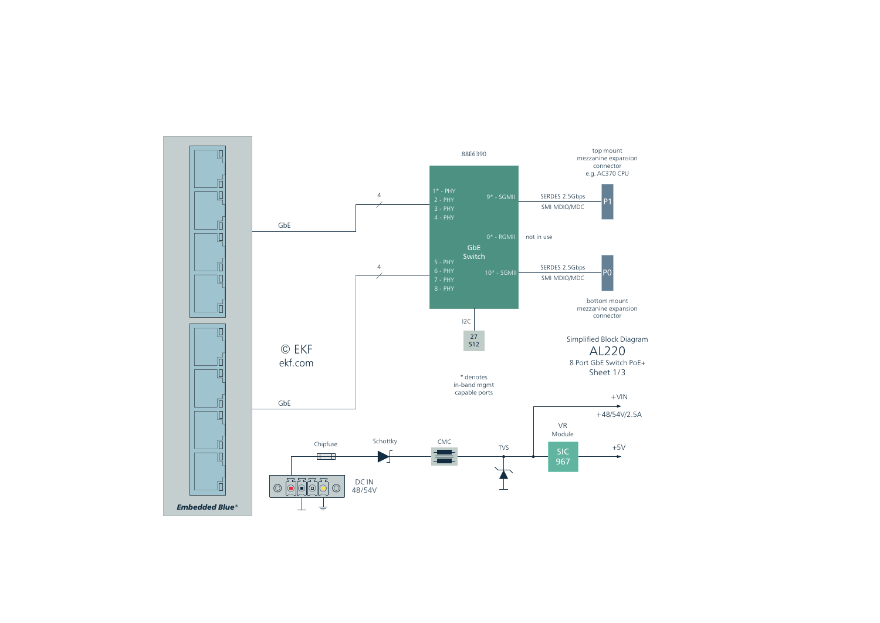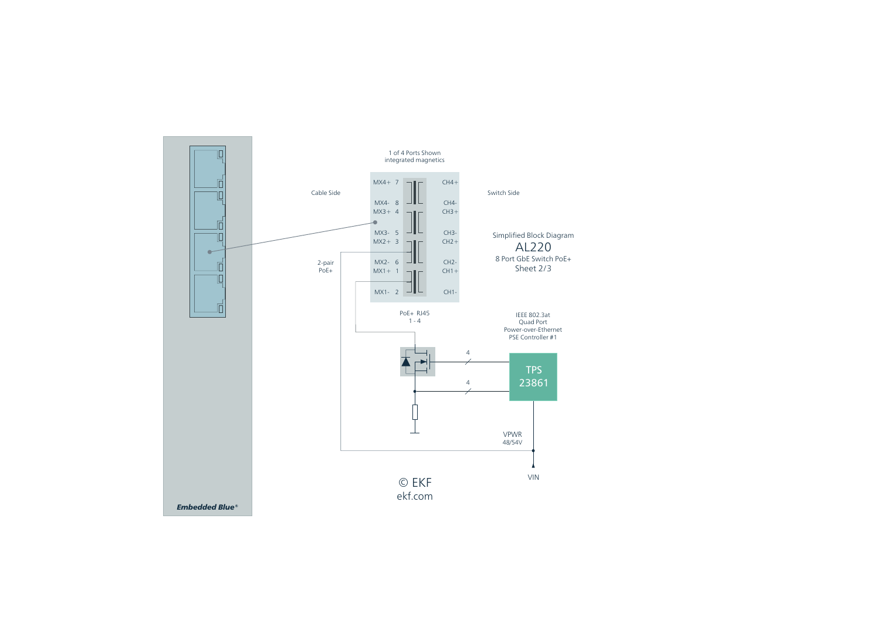